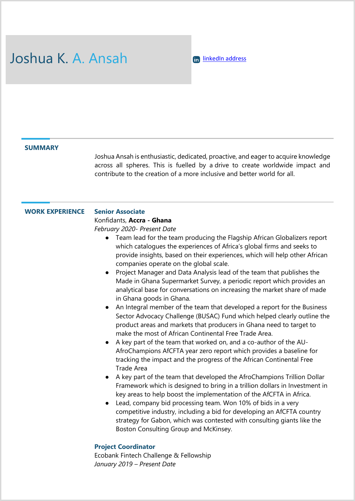# Joshua K. A. Ansah **in LinkedIn address**

#### **SUMMARY**

Joshua Ansah is enthusiastic, dedicated, proactive, and eager to acquire knowledge across all spheres. This is fuelled by a drive to create worldwide impact and contribute to the creation of a more inclusive and better world for all.

#### **WORK EXPERIENCE Senior Associate**

#### Konfidants, **Accra - Ghana**

*February 2020- Present Date*

- Team lead for the team producing the Flagship African Globalizers report which catalogues the experiences of Africa's global firms and seeks to provide insights, based on their experiences, which will help other African companies operate on the global scale.
- Project Manager and Data Analysis lead of the team that publishes the Made in Ghana Supermarket Survey, a periodic report which provides an analytical base for conversations on increasing the market share of made in Ghana goods in Ghana.
- An Integral member of the team that developed a report for the Business Sector Advocacy Challenge (BUSAC) Fund which helped clearly outline the product areas and markets that producers in Ghana need to target to make the most of African Continental Free Trade Area.
- A key part of the team that worked on, and a co-author of the AU-AfroChampions AfCFTA year zero report which provides a baseline for tracking the impact and the progress of the African Continental Free Trade Area
- A key part of the team that developed the AfroChampions Trillion Dollar Framework which is designed to bring in a trillion dollars in Investment in key areas to help boost the implementation of the AfCFTA in Africa.
- Lead, company bid processing team. Won 10% of bids in a very competitive industry, including a bid for developing an AfCFTA country strategy for Gabon, which was contested with consulting giants like the Boston Consulting Group and McKinsey.

#### **Project Coordinator**

Ecobank Fintech Challenge & Fellowship *January 2019 – Present Date*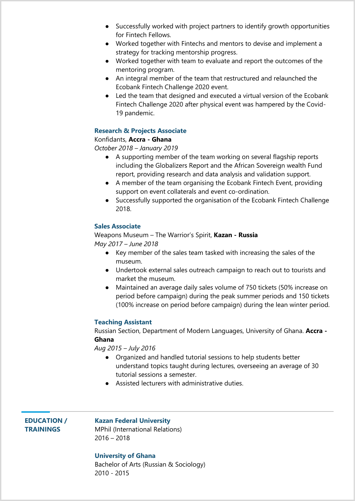- Successfully worked with project partners to identify growth opportunities for Fintech Fellows.
- Worked together with Fintechs and mentors to devise and implement a strategy for tracking mentorship progress.
- Worked together with team to evaluate and report the outcomes of the mentoring program.
- An integral member of the team that restructured and relaunched the Ecobank Fintech Challenge 2020 event.
- Led the team that designed and executed a virtual version of the Ecobank Fintech Challenge 2020 after physical event was hampered by the Covid-19 pandemic.

#### **Research & Projects Associate**

#### Konfidants, **Accra - Ghana**

*October 2018 – January 2019*

- A supporting member of the team working on several flagship reports including the Globalizers Report and the African Sovereign wealth Fund report, providing research and data analysis and validation support.
- A member of the team organising the Ecobank Fintech Event, providing support on event collaterals and event co-ordination.
- Successfully supported the organisation of the Ecobank Fintech Challenge 2018.

#### **Sales Associate**

#### Weapons Museum – The Warrior's Spirit, **Kazan - Russia** *May 2017 – June 2018*

- Key member of the sales team tasked with increasing the sales of the museum.
- Undertook external sales outreach campaign to reach out to tourists and market the museum.
- Maintained an average daily sales volume of 750 tickets (50% increase on period before campaign) during the peak summer periods and 150 tickets (100% increase on period before campaign) during the lean winter period.

#### **Teaching Assistant**

Russian Section, Department of Modern Languages, University of Ghana. **Accra - Ghana**

*Aug 2015 – July 2016*

- Organized and handled tutorial sessions to help students better understand topics taught during lectures, overseeing an average of 30 tutorial sessions a semester.
- Assisted lecturers with administrative duties.

### **EDUCATION / TRAININGS**

#### **Kazan Federal University**

MPhil (International Relations) 2016 – 2018

#### **University of Ghana**

Bachelor of Arts (Russian & Sociology) 2010 - 2015